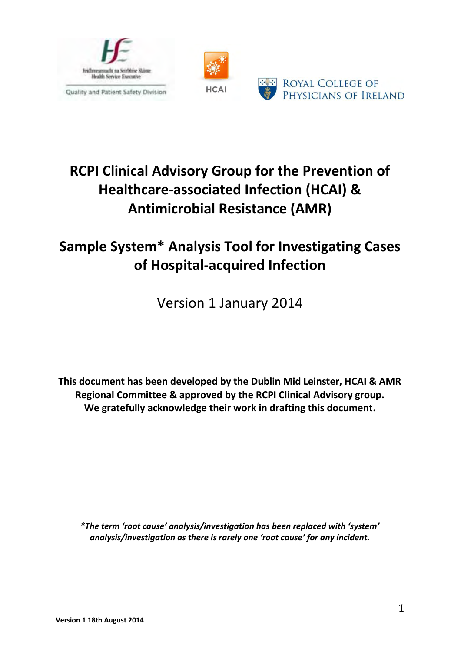



# **RCPI Clinical Advisory Group for the Prevention of Healthcare-associated Infection (HCAI) & Antimicrobial Resistance (AMR)**

## **Sample System\* Analysis Tool for Investigating Cases of Hospital-acquired Infection**

Version 1 January 2014

**This document has been developed by the Dublin Mid Leinster, HCAI & AMR Regional Committee & approved by the RCPI Clinical Advisory group. We gratefully acknowledge their work in drafting this document.**

*\*The term 'root cause' analysis/investigation has been replaced with 'system' analysis/investigation as there is rarely one 'root cause' for any incident.*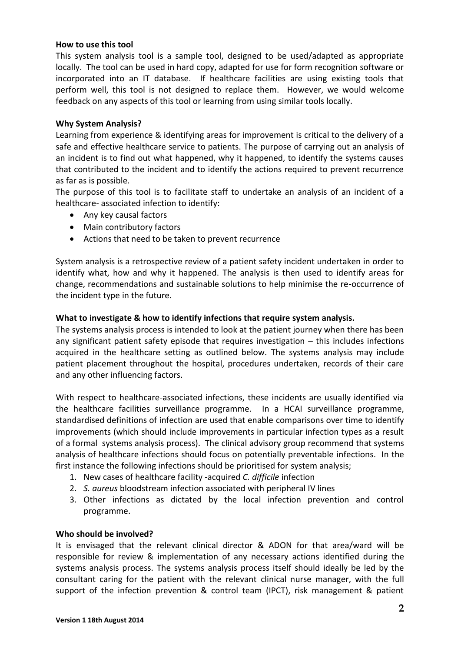#### **How to use this tool**

This system analysis tool is a sample tool, designed to be used/adapted as appropriate locally. The tool can be used in hard copy, adapted for use for form recognition software or incorporated into an IT database. If healthcare facilities are using existing tools that perform well, this tool is not designed to replace them. However, we would welcome feedback on any aspects of this tool or learning from using similar tools locally.

#### **Why System Analysis?**

Learning from experience & identifying areas for improvement is critical to the delivery of a safe and effective healthcare service to patients. The purpose of carrying out an analysis of an incident is to find out what happened, why it happened, to identify the systems causes that contributed to the incident and to identify the actions required to prevent recurrence as far as is possible.

The purpose of this tool is to facilitate staff to undertake an analysis of an incident of a healthcare- associated infection to identify:

- Any key causal factors
- Main contributory factors
- Actions that need to be taken to prevent recurrence

System analysis is a retrospective review of a patient safety incident undertaken in order to identify what, how and why it happened. The analysis is then used to identify areas for change, recommendations and sustainable solutions to help minimise the re-occurrence of the incident type in the future.

#### **What to investigate & how to identify infections that require system analysis.**

The systems analysis process is intended to look at the patient journey when there has been any significant patient safety episode that requires investigation – this includes infections acquired in the healthcare setting as outlined below. The systems analysis may include patient placement throughout the hospital, procedures undertaken, records of their care and any other influencing factors.

With respect to healthcare-associated infections, these incidents are usually identified via the healthcare facilities surveillance programme. In a HCAI surveillance programme, standardised definitions of infection are used that enable comparisons over time to identify improvements (which should include improvements in particular infection types as a result of a formal systems analysis process). The clinical advisory group recommend that systems analysis of healthcare infections should focus on potentially preventable infections. In the first instance the following infections should be prioritised for system analysis;

- 1. New cases of healthcare facility -acquired *C. difficile* infection
- 2. *S. aureus* bloodstream infection associated with peripheral IV lines
- 3. Other infections as dictated by the local infection prevention and control programme.

#### **Who should be involved?**

It is envisaged that the relevant clinical director & ADON for that area/ward will be responsible for review & implementation of any necessary actions identified during the systems analysis process. The systems analysis process itself should ideally be led by the consultant caring for the patient with the relevant clinical nurse manager, with the full support of the infection prevention & control team (IPCT), risk management & patient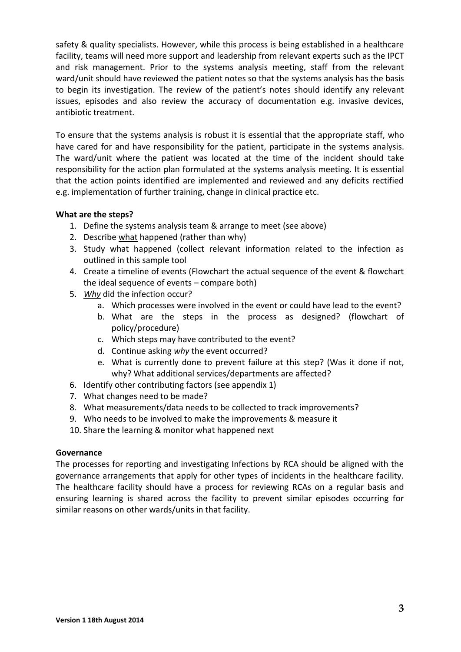safety & quality specialists. However, while this process is being established in a healthcare facility, teams will need more support and leadership from relevant experts such as the IPCT and risk management. Prior to the systems analysis meeting, staff from the relevant ward/unit should have reviewed the patient notes so that the systems analysis has the basis to begin its investigation. The review of the patient's notes should identify any relevant issues, episodes and also review the accuracy of documentation e.g. invasive devices, antibiotic treatment.

To ensure that the systems analysis is robust it is essential that the appropriate staff, who have cared for and have responsibility for the patient, participate in the systems analysis. The ward/unit where the patient was located at the time of the incident should take responsibility for the action plan formulated at the systems analysis meeting. It is essential that the action points identified are implemented and reviewed and any deficits rectified e.g. implementation of further training, change in clinical practice etc.

#### **What are the steps?**

- 1. Define the systems analysis team & arrange to meet (see above)
- 2. Describe what happened (rather than why)
- 3. Study what happened (collect relevant information related to the infection as outlined in this sample tool
- 4. Create a timeline of events (Flowchart the actual sequence of the event & flowchart the ideal sequence of events – compare both)
- 5. *Why* did the infection occur?
	- a. Which processes were involved in the event or could have lead to the event?
	- b. What are the steps in the process as designed? (flowchart of policy/procedure)
	- c. Which steps may have contributed to the event?
	- d. Continue asking *why* the event occurred?
	- e. What is currently done to prevent failure at this step? (Was it done if not, why? What additional services/departments are affected?
- 6. Identify other contributing factors (see appendix 1)
- 7. What changes need to be made?
- 8. What measurements/data needs to be collected to track improvements?
- 9. Who needs to be involved to make the improvements & measure it
- 10. Share the learning & monitor what happened next

#### **Governance**

The processes for reporting and investigating Infections by RCA should be aligned with the governance arrangements that apply for other types of incidents in the healthcare facility. The healthcare facility should have a process for reviewing RCAs on a regular basis and ensuring learning is shared across the facility to prevent similar episodes occurring for similar reasons on other wards/units in that facility.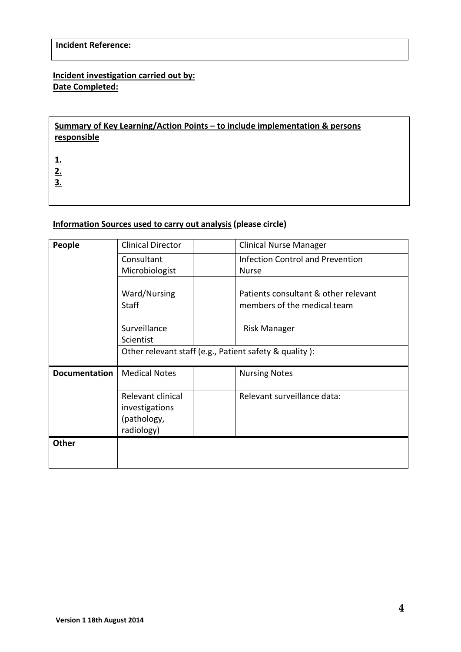## **Incident investigation carried out by: Date Completed:**

## **Summary of Key Learning/Action Points – to include implementation & persons responsible**

**1.**

**2. 3.**

#### **Information Sources used to carry out analysis (please circle)**

| People               | <b>Clinical Director</b>                                         | <b>Clinical Nurse Manager</b>                                       |  |
|----------------------|------------------------------------------------------------------|---------------------------------------------------------------------|--|
|                      | Consultant<br>Microbiologist                                     | <b>Infection Control and Prevention</b><br><b>Nurse</b>             |  |
|                      | Ward/Nursing<br><b>Staff</b>                                     | Patients consultant & other relevant<br>members of the medical team |  |
|                      | Surveillance<br>Scientist                                        | Risk Manager                                                        |  |
|                      | Other relevant staff (e.g., Patient safety & quality):           |                                                                     |  |
| <b>Documentation</b> | <b>Medical Notes</b>                                             | <b>Nursing Notes</b>                                                |  |
|                      | Relevant clinical<br>investigations<br>(pathology,<br>radiology) | Relevant surveillance data:                                         |  |
| <b>Other</b>         |                                                                  |                                                                     |  |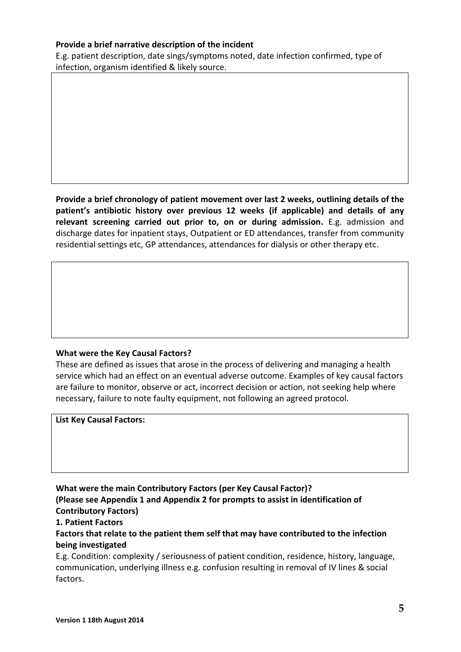#### **Provide a brief narrative description of the incident**

E.g. patient description, date sings/symptoms noted, date infection confirmed, type of infection, organism identified & likely source.

**Provide a brief chronology of patient movement over last 2 weeks, outlining details of the patient's antibiotic history over previous 12 weeks (if applicable) and details of any relevant screening carried out prior to, on or during admission.** E.g. admission and discharge dates for inpatient stays, Outpatient or ED attendances, transfer from community residential settings etc, GP attendances, attendances for dialysis or other therapy etc.

#### **What were the Key Causal Factors?**

These are defined as issues that arose in the process of delivering and managing a health service which had an effect on an eventual adverse outcome. Examples of key causal factors are failure to monitor, observe or act, incorrect decision or action, not seeking help where necessary, failure to note faulty equipment, not following an agreed protocol.

**List Key Causal Factors:**

### **What were the main Contributory Factors (per Key Causal Factor)?**

**(Please see Appendix 1 and Appendix 2 for prompts to assist in identification of Contributory Factors)**

#### **1. Patient Factors**

**Factors that relate to the patient them self that may have contributed to the infection being investigated**

E.g. Condition: complexity / seriousness of patient condition, residence, history, language, communication, underlying illness e.g. confusion resulting in removal of IV lines & social factors.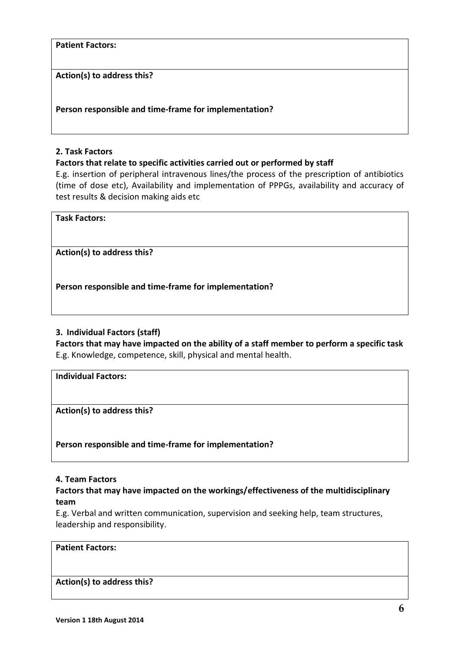**Patient Factors:**

**Action(s) to address this?**

**Person responsible and time-frame for implementation?**

#### **2. Task Factors**

**Factors that relate to specific activities carried out or performed by staff**

E.g. insertion of peripheral intravenous lines/the process of the prescription of antibiotics (time of dose etc), Availability and implementation of PPPGs, availability and accuracy of test results & decision making aids etc

**Task Factors:**

**Action(s) to address this?**

**Person responsible and time-frame for implementation?**

#### **3. Individual Factors (staff)**

**Factors that may have impacted on the ability of a staff member to perform a specific task**  E.g. Knowledge, competence, skill, physical and mental health.

**Individual Factors:**

**Action(s) to address this?**

**Person responsible and time-frame for implementation?**

#### **4. Team Factors**

#### **Factors that may have impacted on the workings/effectiveness of the multidisciplinary team**

E.g. Verbal and written communication, supervision and seeking help, team structures, leadership and responsibility.

#### **Patient Factors:**

#### **Action(s) to address this?**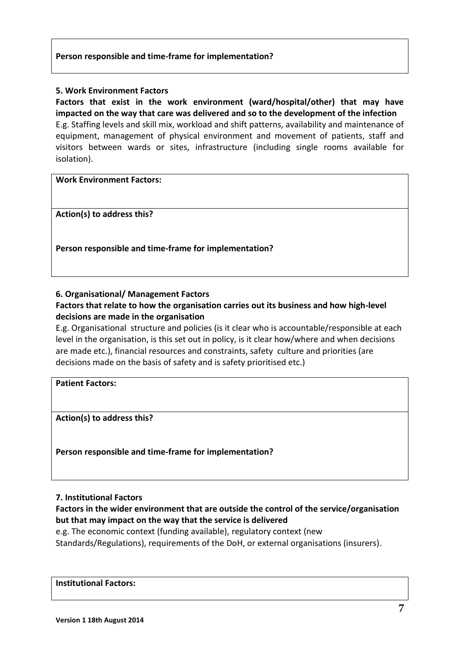#### **Person responsible and time-frame for implementation?**

#### **5. Work Environment Factors**

**Factors that exist in the work environment (ward/hospital/other) that may have impacted on the way that care was delivered and so to the development of the infection**  E.g. Staffing levels and skill mix, workload and shift patterns, availability and maintenance of equipment, management of physical environment and movement of patients, staff and visitors between wards or sites, infrastructure (including single rooms available for isolation).

**Work Environment Factors:**

**Action(s) to address this?**

**Person responsible and time-frame for implementation?**

**6. Organisational/ Management Factors**

**Factors that relate to how the organisation carries out its business and how high-level decisions are made in the organisation**

E.g. Organisational structure and policies (is it clear who is accountable/responsible at each level in the organisation, is this set out in policy, is it clear how/where and when decisions are made etc.), financial resources and constraints, safety culture and priorities (are decisions made on the basis of safety and is safety prioritised etc.)

#### **Patient Factors:**

**Action(s) to address this?**

**Person responsible and time-frame for implementation?**

#### **7. Institutional Factors**

**Factors in the wider environment that are outside the control of the service/organisation but that may impact on the way that the service is delivered** 

e.g. The economic context (funding available), regulatory context (new

Standards/Regulations), requirements of the DoH, or external organisations (insurers).

#### **Institutional Factors:**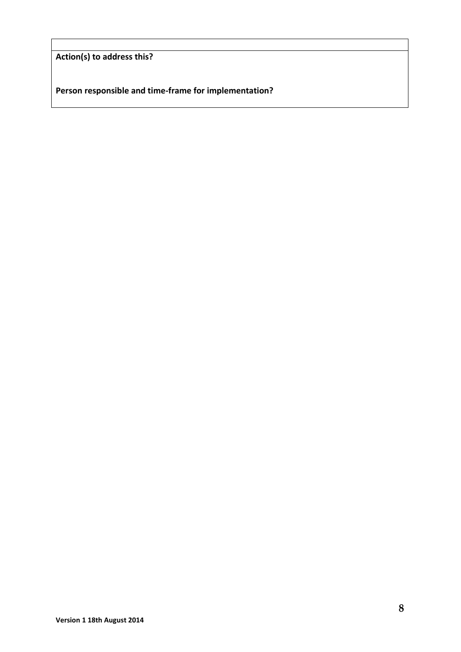**Action(s) to address this?**

**Person responsible and time-frame for implementation?**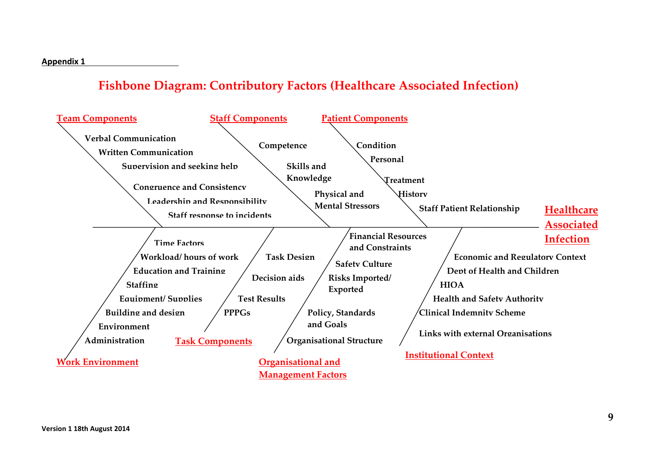## **Fishbone Diagram: Contributory Factors (Healthcare Associated Infection)**

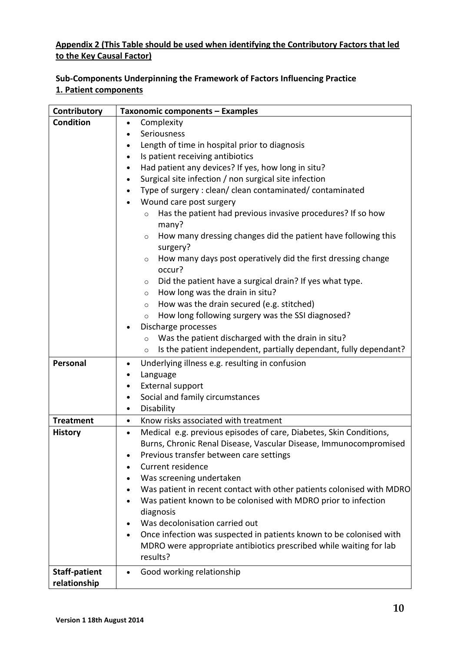## **Appendix 2 (This Table should be used when identifying the Contributory Factors that led to the Key Causal Factor)**

## **Sub-Components Underpinning the Framework of Factors Influencing Practice 1. Patient components**

| Contributory         | Taxonomic components - Examples                                                      |  |
|----------------------|--------------------------------------------------------------------------------------|--|
| <b>Condition</b>     | Complexity<br>$\bullet$                                                              |  |
|                      | Seriousness                                                                          |  |
|                      | Length of time in hospital prior to diagnosis                                        |  |
|                      | Is patient receiving antibiotics                                                     |  |
|                      | Had patient any devices? If yes, how long in situ?                                   |  |
|                      | Surgical site infection / non surgical site infection                                |  |
|                      | Type of surgery : clean/ clean contaminated/ contaminated                            |  |
|                      | Wound care post surgery                                                              |  |
|                      | Has the patient had previous invasive procedures? If so how<br>$\circ$               |  |
|                      | many?                                                                                |  |
|                      | How many dressing changes did the patient have following this<br>$\circ$<br>surgery? |  |
|                      | How many days post operatively did the first dressing change<br>$\circ$              |  |
|                      | occur?                                                                               |  |
|                      | Did the patient have a surgical drain? If yes what type.<br>$\circ$                  |  |
|                      | How long was the drain in situ?<br>$\circ$                                           |  |
|                      | How was the drain secured (e.g. stitched)<br>$\circ$                                 |  |
|                      | How long following surgery was the SSI diagnosed?<br>$\circ$                         |  |
|                      | Discharge processes                                                                  |  |
|                      | Was the patient discharged with the drain in situ?<br>$\circ$                        |  |
|                      | Is the patient independent, partially dependant, fully dependant?<br>$\circ$         |  |
| Personal             | Underlying illness e.g. resulting in confusion<br>$\bullet$                          |  |
|                      | Language                                                                             |  |
|                      | External support<br>$\bullet$                                                        |  |
|                      | Social and family circumstances                                                      |  |
|                      | Disability<br>$\bullet$                                                              |  |
| <b>Treatment</b>     | Know risks associated with treatment<br>$\bullet$                                    |  |
| <b>History</b>       | Medical e.g. previous episodes of care, Diabetes, Skin Conditions,<br>$\bullet$      |  |
|                      | Burns, Chronic Renal Disease, Vascular Disease, Immunocompromised                    |  |
|                      | Previous transfer between care settings                                              |  |
|                      | <b>Current residence</b>                                                             |  |
|                      | Was screening undertaken                                                             |  |
|                      | Was patient in recent contact with other patients colonised with MDRO                |  |
|                      | Was patient known to be colonised with MDRO prior to infection                       |  |
|                      | diagnosis                                                                            |  |
|                      | Was decolonisation carried out                                                       |  |
|                      | Once infection was suspected in patients known to be colonised with<br>٠             |  |
|                      | MDRO were appropriate antibiotics prescribed while waiting for lab                   |  |
|                      | results?                                                                             |  |
| <b>Staff-patient</b> | Good working relationship<br>$\bullet$                                               |  |
| relationship         |                                                                                      |  |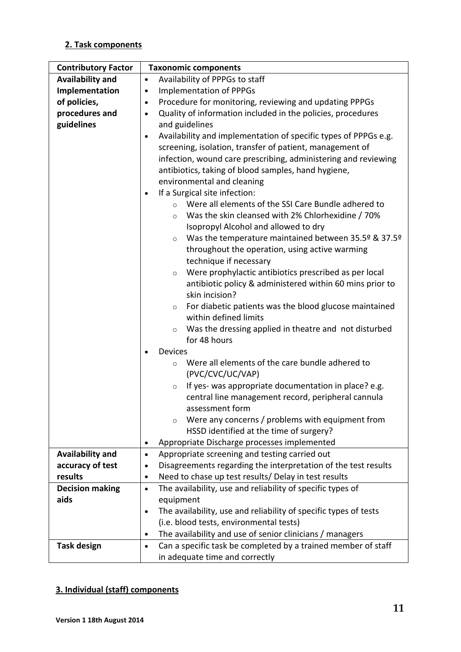## **2. Task components**

| <b>Contributory Factor</b> | <b>Taxonomic components</b>                                                   |
|----------------------------|-------------------------------------------------------------------------------|
| <b>Availability and</b>    | Availability of PPPGs to staff<br>$\bullet$                                   |
| Implementation             | <b>Implementation of PPPGs</b><br>$\bullet$                                   |
| of policies,               | Procedure for monitoring, reviewing and updating PPPGs<br>$\bullet$           |
| procedures and             | Quality of information included in the policies, procedures<br>$\bullet$      |
| guidelines                 | and guidelines                                                                |
|                            | Availability and implementation of specific types of PPPGs e.g.<br>$\bullet$  |
|                            | screening, isolation, transfer of patient, management of                      |
|                            | infection, wound care prescribing, administering and reviewing                |
|                            | antibiotics, taking of blood samples, hand hygiene,                           |
|                            | environmental and cleaning                                                    |
|                            | If a Surgical site infection:<br>$\bullet$                                    |
|                            | Were all elements of the SSI Care Bundle adhered to<br>$\circ$                |
|                            | Was the skin cleansed with 2% Chlorhexidine / 70%<br>$\circ$                  |
|                            | Isopropyl Alcohol and allowed to dry                                          |
|                            | Was the temperature maintained between 35.5º & 37.5º<br>$\circ$               |
|                            | throughout the operation, using active warming                                |
|                            | technique if necessary                                                        |
|                            | Were prophylactic antibiotics prescribed as per local<br>$\circ$              |
|                            | antibiotic policy & administered within 60 mins prior to                      |
|                            | skin incision?                                                                |
|                            | For diabetic patients was the blood glucose maintained<br>$\circ$             |
|                            | within defined limits                                                         |
|                            | Was the dressing applied in theatre and not disturbed<br>$\circ$              |
|                            | for 48 hours                                                                  |
|                            | <b>Devices</b><br>$\bullet$                                                   |
|                            | Were all elements of the care bundle adhered to<br>$\circ$                    |
|                            | (PVC/CVC/UC/VAP)                                                              |
|                            | If yes- was appropriate documentation in place? e.g.<br>$\circ$               |
|                            | central line management record, peripheral cannula                            |
|                            | assessment form                                                               |
|                            | Were any concerns / problems with equipment from<br>$\circ$                   |
|                            | HSSD identified at the time of surgery?                                       |
|                            | Appropriate Discharge processes implemented<br>$\bullet$                      |
| Availability and           | Appropriate screening and testing carried out<br>$\bullet$                    |
| accuracy of test           | Disagreements regarding the interpretation of the test results<br>$\bullet$   |
| results                    | Need to chase up test results/ Delay in test results<br>$\bullet$             |
| <b>Decision making</b>     | The availability, use and reliability of specific types of<br>$\bullet$       |
| aids                       | equipment                                                                     |
|                            | The availability, use and reliability of specific types of tests<br>$\bullet$ |
|                            | (i.e. blood tests, environmental tests)                                       |
|                            | The availability and use of senior clinicians / managers<br>$\bullet$         |
| <b>Task design</b>         | Can a specific task be completed by a trained member of staff<br>$\bullet$    |
|                            | in adequate time and correctly                                                |

## **3. Individual (staff) components**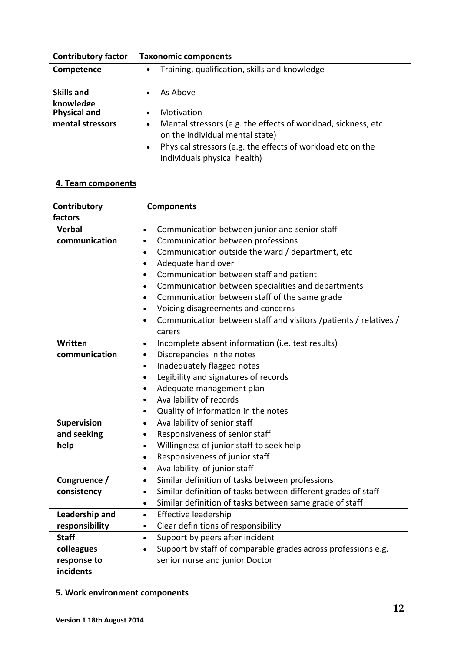| <b>Contributory factor</b>              | <b>Taxonomic components</b>                                                                                                                                                                                                              |  |
|-----------------------------------------|------------------------------------------------------------------------------------------------------------------------------------------------------------------------------------------------------------------------------------------|--|
| Competence                              | Training, qualification, skills and knowledge                                                                                                                                                                                            |  |
| <b>Skills and</b><br>knowledge          | As Above                                                                                                                                                                                                                                 |  |
| <b>Physical and</b><br>mental stressors | Motivation<br>Mental stressors (e.g. the effects of workload, sickness, etc.<br>$\bullet$<br>on the individual mental state)<br>Physical stressors (e.g. the effects of workload etc on the<br>$\bullet$<br>individuals physical health) |  |

## **4. Team components**

| Contributory   | <b>Components</b>                                                             |
|----------------|-------------------------------------------------------------------------------|
| factors        |                                                                               |
| <b>Verbal</b>  | Communication between junior and senior staff<br>$\bullet$                    |
| communication  | Communication between professions<br>$\bullet$                                |
|                | Communication outside the ward / department, etc<br>$\bullet$                 |
|                | Adequate hand over<br>$\bullet$                                               |
|                | Communication between staff and patient<br>$\bullet$                          |
|                | Communication between specialities and departments<br>$\bullet$               |
|                | Communication between staff of the same grade<br>$\bullet$                    |
|                | Voicing disagreements and concerns<br>$\bullet$                               |
|                | Communication between staff and visitors /patients / relatives /<br>$\bullet$ |
|                | carers                                                                        |
| Written        | Incomplete absent information (i.e. test results)<br>$\bullet$                |
| communication  | Discrepancies in the notes<br>$\bullet$                                       |
|                | Inadequately flagged notes<br>$\bullet$                                       |
|                | Legibility and signatures of records<br>$\bullet$                             |
|                | Adequate management plan<br>$\bullet$                                         |
|                | Availability of records<br>$\bullet$                                          |
|                | Quality of information in the notes<br>$\bullet$                              |
| Supervision    | Availability of senior staff<br>$\bullet$                                     |
| and seeking    | Responsiveness of senior staff<br>$\bullet$                                   |
| help           | Willingness of junior staff to seek help<br>$\bullet$                         |
|                | Responsiveness of junior staff<br>$\bullet$                                   |
|                | Availability of junior staff<br>$\bullet$                                     |
| Congruence /   | Similar definition of tasks between professions<br>$\bullet$                  |
| consistency    | Similar definition of tasks between different grades of staff<br>$\bullet$    |
|                | Similar definition of tasks between same grade of staff<br>$\bullet$          |
| Leadership and | Effective leadership<br>$\bullet$                                             |
| responsibility | Clear definitions of responsibility<br>$\bullet$                              |
| <b>Staff</b>   | Support by peers after incident<br>$\bullet$                                  |
| colleagues     | Support by staff of comparable grades across professions e.g.<br>$\bullet$    |
| response to    | senior nurse and junior Doctor                                                |
| incidents      |                                                                               |

## **5. Work environment components**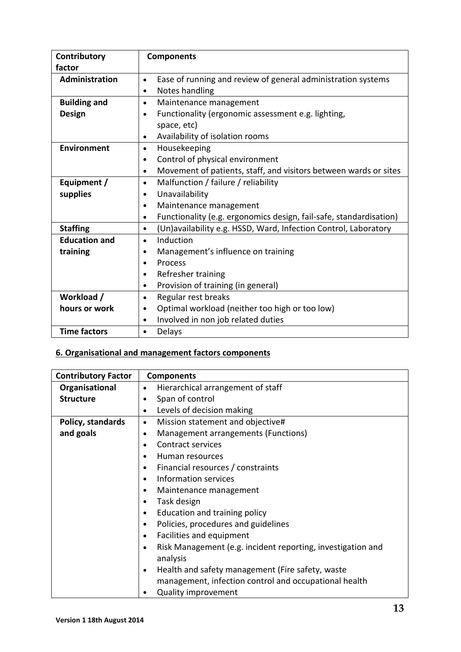| Contributory         | <b>Components</b>                                                               |  |
|----------------------|---------------------------------------------------------------------------------|--|
| factor               |                                                                                 |  |
| Administration       | Ease of running and review of general administration systems<br>$\bullet$       |  |
|                      | Notes handling<br>$\bullet$                                                     |  |
| <b>Building and</b>  | Maintenance management<br>$\bullet$                                             |  |
| <b>Design</b>        | Functionality (ergonomic assessment e.g. lighting,<br>$\bullet$                 |  |
|                      | space, etc)                                                                     |  |
|                      | Availability of isolation rooms<br>$\bullet$                                    |  |
| <b>Environment</b>   | Housekeeping<br>$\bullet$                                                       |  |
|                      | Control of physical environment<br>$\bullet$                                    |  |
|                      | Movement of patients, staff, and visitors between wards or sites<br>$\bullet$   |  |
| Equipment /          | Malfunction / failure / reliability<br>$\bullet$                                |  |
| supplies             | Unavailability<br>$\bullet$                                                     |  |
|                      | Maintenance management<br>$\bullet$                                             |  |
|                      | Functionality (e.g. ergonomics design, fail-safe, standardisation)<br>$\bullet$ |  |
| <b>Staffing</b>      | (Un)availability e.g. HSSD, Ward, Infection Control, Laboratory<br>$\bullet$    |  |
| <b>Education and</b> | Induction<br>$\bullet$                                                          |  |
| training             | Management's influence on training<br>$\bullet$                                 |  |
|                      | Process<br>$\bullet$                                                            |  |
|                      | Refresher training<br>$\bullet$                                                 |  |
|                      | Provision of training (in general)<br>$\bullet$                                 |  |
| Workload /           | Regular rest breaks<br>$\bullet$                                                |  |
| hours or work        | Optimal workload (neither too high or too low)<br>$\bullet$                     |  |
|                      | Involved in non job related duties<br>$\bullet$                                 |  |
| <b>Time factors</b>  | Delays<br>$\bullet$                                                             |  |

## **6. Organisational and management factors components**

| <b>Contributory Factor</b> | <b>Components</b>                                                |
|----------------------------|------------------------------------------------------------------|
| Organisational             | Hierarchical arrangement of staff<br>$\bullet$                   |
| <b>Structure</b>           | Span of control<br>٠                                             |
|                            | Levels of decision making<br>$\bullet$                           |
| Policy, standards          | Mission statement and objective#<br>$\bullet$                    |
| and goals                  | Management arrangements (Functions)<br>٠                         |
|                            | Contract services<br>٠                                           |
|                            | Human resources<br>$\bullet$                                     |
|                            | Financial resources / constraints<br>٠                           |
|                            | Information services<br>$\bullet$                                |
|                            | Maintenance management<br>٠                                      |
|                            | Task design<br>٠                                                 |
|                            | Education and training policy<br>٠                               |
|                            | Policies, procedures and guidelines<br>٠                         |
|                            | Facilities and equipment<br>$\bullet$                            |
|                            | Risk Management (e.g. incident reporting, investigation and<br>٠ |
|                            | analysis                                                         |
|                            | Health and safety management (Fire safety, waste<br>٠            |
|                            | management, infection control and occupational health            |
|                            | <b>Quality improvement</b>                                       |